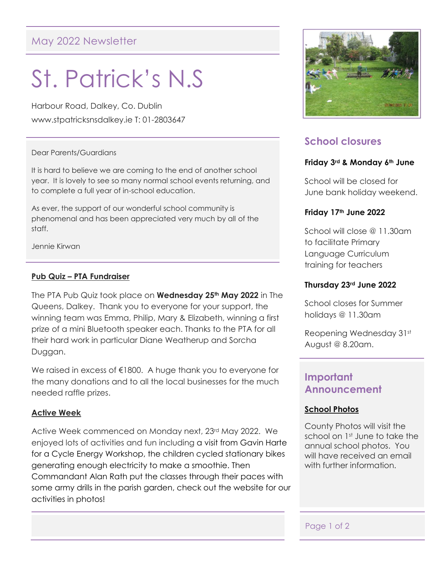# May 2022 Newsletter

# St. Patrick's N.S

Harbour Road, Dalkey, Co. Dublin www.stpatricksnsdalkey.ie T: 01-2803647

## Dear Parents/Guardians

It is hard to believe we are coming to the end of another school year. It is lovely to see so many normal school events returning, and to complete a full year of in-school education.

As ever, the support of our wonderful school community is phenomenal and has been appreciated very much by all of the staff.

Jennie Kirwan

## **Pub Quiz – PTA Fundraiser**

The PTA Pub Quiz took place on **Wednesday 25th May 2022** in The Queens, Dalkey. Thank you to everyone for your support, the winning team was Emma, Philip, Mary & Elizabeth, winning a first prize of a mini Bluetooth speaker each. Thanks to the PTA for all their hard work in particular Diane Weatherup and Sorcha Duggan.

We raised in excess of €1800. A huge thank you to everyone for the many donations and to all the local businesses for the much needed raffle prizes.

## **Active Week**

Active Week commenced on Monday next, 23rd May 2022. We enjoyed lots of activities and fun including a visit from Gavin Harte for a Cycle Energy Workshop, the children cycled stationary bikes generating enough electricity to make a smoothie. Then Commandant Alan Rath put the classes through their paces with some army drills in the parish garden, check out the website for our activities in photos!



# **School closures**

## **Friday 3rd & Monday 6th June**

School will be closed for June bank holiday weekend.

## **Friday 17th June 2022**

School will close @ 11.30am to facilitate Primary Language Curriculum training for teachers

#### **Thursday 23rd June 2022**

School closes for Summer holidays @ 11.30am

Reopening Wednesday 31st August @ 8.20am.

# **Important Announcement**

## **School Photos**

County Photos will visit the school on 1st June to take the annual school photos. You will have received an email with further information.

## Page 1 of 2